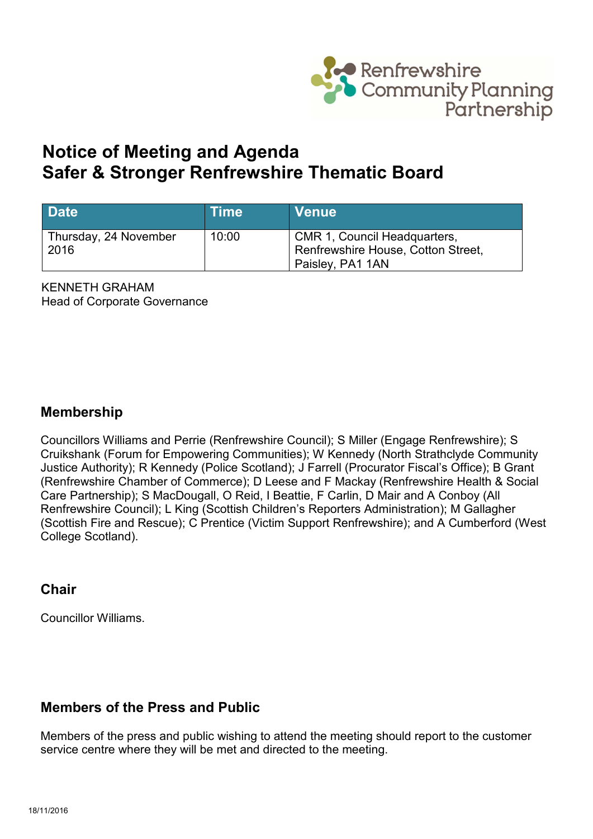

# **Notice of Meeting and Agenda Safer & Stronger Renfrewshire Thematic Board**

| <b>Date</b>                   | <b>Time</b> | <b>Venue</b>                                                                           |
|-------------------------------|-------------|----------------------------------------------------------------------------------------|
| Thursday, 24 November<br>2016 | 10:00       | CMR 1, Council Headquarters,<br>Renfrewshire House, Cotton Street,<br>Paisley, PA1 1AN |

KENNETH GRAHAM Head of Corporate Governance

## **Membership**

Councillors Williams and Perrie (Renfrewshire Council); S Miller (Engage Renfrewshire); S Cruikshank (Forum for Empowering Communities); W Kennedy (North Strathclyde Community Justice Authority); R Kennedy (Police Scotland); J Farrell (Procurator Fiscal's Office); B Grant (Renfrewshire Chamber of Commerce); D Leese and F Mackay (Renfrewshire Health & Social Care Partnership); S MacDougall, O Reid, I Beattie, F Carlin, D Mair and A Conboy (All Renfrewshire Council); L King (Scottish Children's Reporters Administration); M Gallagher (Scottish Fire and Rescue); C Prentice (Victim Support Renfrewshire); and A Cumberford (West College Scotland).

## **Chair**

Councillor Williams.

## **Members of the Press and Public**

Members of the press and public wishing to attend the meeting should report to the customer service centre where they will be met and directed to the meeting.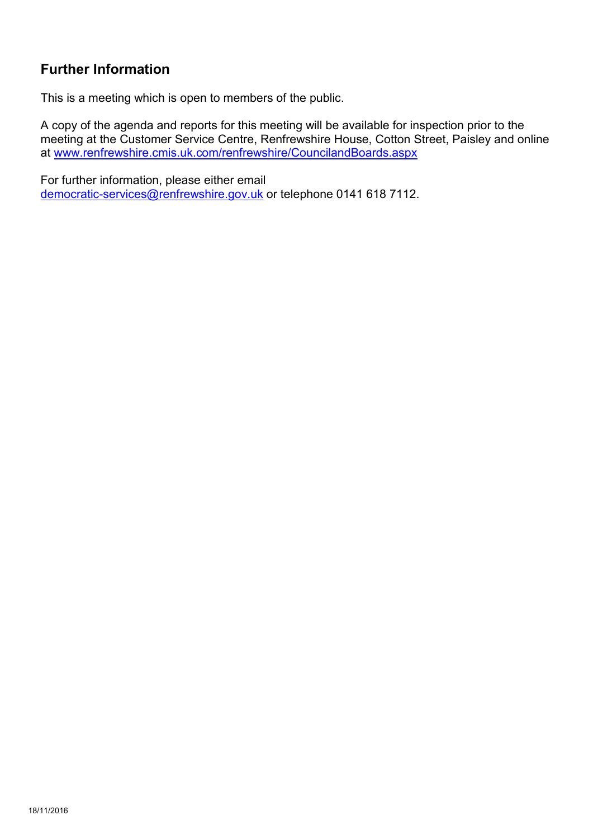## **Further Information**

This is a meeting which is open to members of the public.

A copy of the agenda and reports for this meeting will be available for inspection prior to the meeting at the Customer Service Centre, Renfrewshire House, Cotton Street, Paisley and online at [www.renfrewshire.cmis.uk.com/renfrewshire/CouncilandBoards.aspx](http://www.renfrewshire.cmis.uk.com/renfrewshire/CouncilandBoards.aspx)

For further information, please either email [democratic-services@renfrewshire.gov.uk](mailto:democratic-services@renfrewshire.gov.uk) or telephone 0141 618 7112.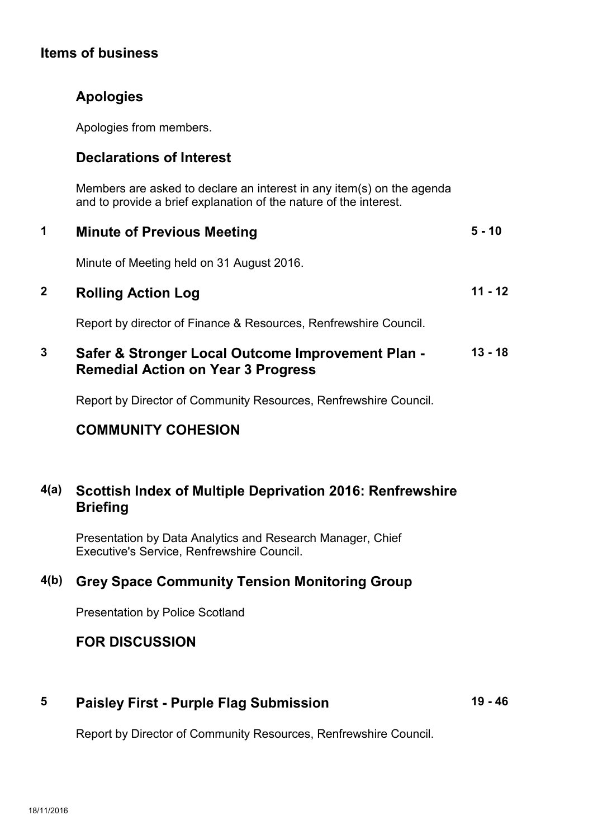### **Items of business**

## **Apologies**

Apologies from members.

## **Declarations of Interest**

Members are asked to declare an interest in any item(s) on the agenda and to provide a brief explanation of the nature of the interest.

|   | <b>Minute of Previous Meeting</b>                                                              | $5 - 10$ |
|---|------------------------------------------------------------------------------------------------|----------|
|   | Minute of Meeting held on 31 August 2016.                                                      |          |
|   | <b>Rolling Action Log</b>                                                                      | 11 - 12  |
|   | Report by director of Finance & Resources, Renfrewshire Council.                               |          |
| 3 | Safer & Stronger Local Outcome Improvement Plan -<br><b>Remedial Action on Year 3 Progress</b> | 13 - 18  |

Report by Director of Community Resources, Renfrewshire Council.

## **COMMUNITY COHESION**

## **4(a) Scottish Index of Multiple Deprivation 2016: Renfrewshire Briefing**

Presentation by Data Analytics and Research Manager, Chief Executive's Service, Renfrewshire Council.

## **4(b) Grey Space Community Tension Monitoring Group**

Presentation by Police Scotland

## **FOR DISCUSSION**

## **5 Paisley First - Purple Flag Submission**

**19 - 46**

Report by Director of Community Resources, Renfrewshire Council.